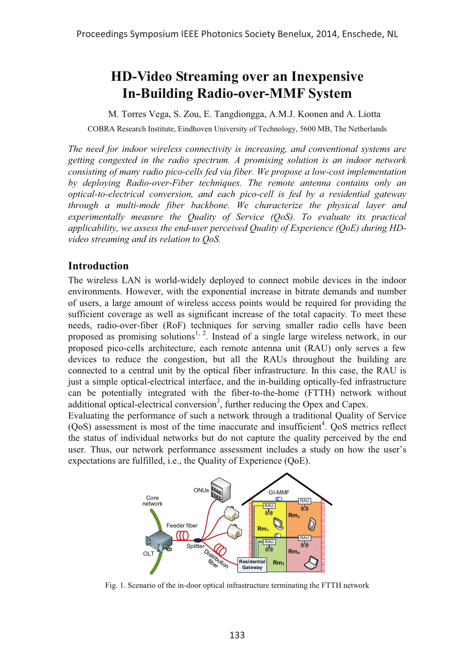# **HD-Video Streaming over an Inexpensive In-Building Radio-over-MMF System**

M. Torres Vega, S. Zou, E. Tangdiongga, A.M.J. Koonen and A. Liotta

COBRA Research Institute, Eindhoven University of Technology, 5600 MB, The Netherlands

*The need for indoor wireless connectivity is increasing, and conventional systems are getting congested in the radio spectrum. A promising solution is an indoor network consisting of many radio pico-cells fed via fiber. We propose a low-cost implementation by deploying Radio-over-Fiber techniques. The remote antenna contains only an optical-to-electrical conversion, and each pico-cell is fed by a residential gateway through a multi-mode fiber backbone. We characterize the physical layer and experimentally measure the Quality of Service (QoS). To evaluate its practical applicability, we assess the end-user perceived Quality of Experience (QoE) during HDvideo streaming and its relation to QoS.*

#### **Introduction**

The wireless LAN is world-widely deployed to connect mobile devices in the indoor environments. However, with the exponential increase in bitrate demands and number of users, a large amount of wireless access points would be required for providing the sufficient coverage as well as significant increase of the total capacity. To meet these needs, radio-over-fiber (RoF) techniques for serving smaller radio cells have been proposed as promising solutions<sup>1, 2</sup>. Instead of a single large wireless network, in our proposed pico-cells architecture, each remote antenna unit (RAU) only serves a few devices to reduce the congestion, but all the RAUs throughout the building are connected to a central unit by the optical fiber infrastructure. In this case, the RAU is just a simple optical-electrical interface, and the in-building optically-fed infrastructure can be potentially integrated with the fiber-to-the-home (FTTH) network without additional optical-electrical conversion<sup>3</sup>, further reducing the Opex and Capex.

Evaluating the performance of such a network through a traditional Quality of Service (QoS) assessment is most of the time inaccurate and insufficient<sup>4</sup>. QoS metrics reflect the status of individual networks but do not capture the quality perceived by the end user. Thus, our network performance assessment includes a study on how the user's expectations are fulfilled, i.e., the Quality of Experience (QoE).



Fig. 1. Scenario of the in-door optical infrastructure terminating the FTTH network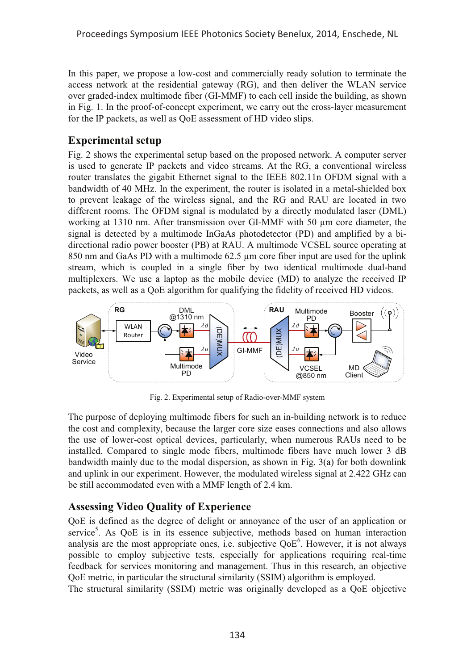In this paper, we propose a low-cost and commercially ready solution to terminate the access network at the residential gateway (RG), and then deliver the WLAN service over graded-index multimode fiber (GI-MMF) to each cell inside the building, as shown in Fig. 1. In the proof-of-concept experiment, we carry out the cross-layer measurement for the IP packets, as well as QoE assessment of HD video slips.

### **Experimental setup**

Fig. 2 shows the experimental setup based on the proposed network. A computer server is used to generate IP packets and video streams. At the RG, a conventional wireless router translates the gigabit Ethernet signal to the IEEE 802.11n OFDM signal with a bandwidth of 40 MHz. In the experiment, the router is isolated in a metal-shielded box to prevent leakage of the wireless signal, and the RG and RAU are located in two different rooms. The OFDM signal is modulated by a directly modulated laser (DML) working at 1310 nm. After transmission over GI-MMF with 50 μm core diameter, the signal is detected by a multimode InGaAs photodetector (PD) and amplified by a bidirectional radio power booster (PB) at RAU. A multimode VCSEL source operating at 850 nm and GaAs PD with a multimode 62.5 μm core fiber input are used for the uplink stream, which is coupled in a single fiber by two identical multimode dual-band multiplexers. We use a laptop as the mobile device (MD) to analyze the received IP packets, as well as a QoE algorithm for qualifying the fidelity of received HD videos.



Fig. 2. Experimental setup of Radio-over-MMF system

The purpose of deploying multimode fibers for such an in-building network is to reduce the cost and complexity, because the larger core size eases connections and also allows the use of lower-cost optical devices, particularly, when numerous RAUs need to be installed. Compared to single mode fibers, multimode fibers have much lower 3 dB bandwidth mainly due to the modal dispersion, as shown in Fig. 3(a) for both downlink and uplink in our experiment. However, the modulated wireless signal at 2.422 GHz can be still accommodated even with a MMF length of 2.4 km.

## **Assessing Video Quality of Experience**

QoE is defined as the degree of delight or annoyance of the user of an application or service<sup>5</sup>. As QoE is in its essence subjective, methods based on human interaction analysis are the most appropriate ones, i.e. subjective  $QoE<sup>6</sup>$ . However, it is not always possible to employ subjective tests, especially for applications requiring real-time feedback for services monitoring and management. Thus in this research, an objective QoE metric, in particular the structural similarity (SSIM) algorithm is employed.

The structural similarity (SSIM) metric was originally developed as a QoE objective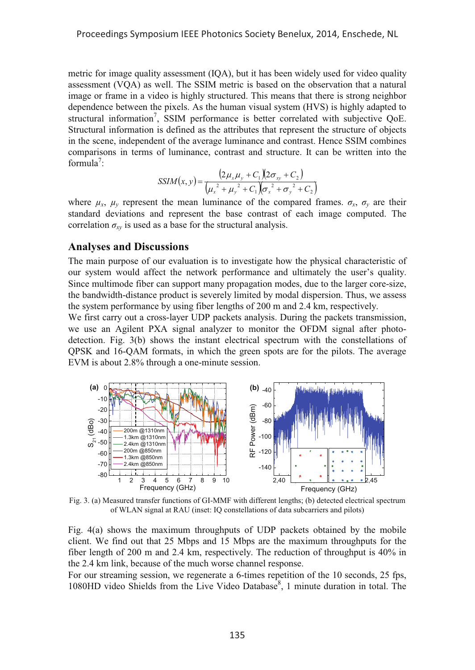metric for image quality assessment (IQA), but it has been widely used for video quality assessment (VQA) as well. The SSIM metric is based on the observation that a natural image or frame in a video is highly structured. This means that there is strong neighbor dependence between the pixels. As the human visual system (HVS) is highly adapted to structural information<sup>7</sup>, SSIM performance is better correlated with subjective QoE. Structural information is defined as the attributes that represent the structure of objects in the scene, independent of the average luminance and contrast. Hence SSIM combines comparisons in terms of luminance, contrast and structure. It can be written into the formula<sup>7</sup>:

$$
SSIM(x, y) = \frac{(2\mu_x \mu_y + C_1)(2\sigma_{xy} + C_2)}{(\mu_x^2 + \mu_y^2 + C_1)(\sigma_x^2 + \sigma_y^2 + C_2)}
$$

where  $\mu_x$ ,  $\mu_y$  represent the mean luminance of the compared frames.  $\sigma_x$ ,  $\sigma_y$  are their standard deviations and represent the base contrast of each image computed. The correlation  $\sigma_{xy}$  is used as a base for the structural analysis.

#### **Analyses and Discussions**

The main purpose of our evaluation is to investigate how the physical characteristic of our system would affect the network performance and ultimately the user's quality. Since multimode fiber can support many propagation modes, due to the larger core-size, the bandwidth-distance product is severely limited by modal dispersion. Thus, we assess the system performance by using fiber lengths of 200 m and 2.4 km, respectively.

We first carry out a cross-layer UDP packets analysis. During the packets transmission, we use an Agilent PXA signal analyzer to monitor the OFDM signal after photodetection. Fig. 3(b) shows the instant electrical spectrum with the constellations of QPSK and 16-QAM formats, in which the green spots are for the pilots. The average EVM is about 2.8% through a one-minute session.



Fig. 3. (a) Measured transfer functions of GI-MMF with different lengths; (b) detected electrical spectrum of WLAN signal at RAU (inset: IQ constellations of data subcarriers and pilots)

Fig. 4(a) shows the maximum throughputs of UDP packets obtained by the mobile client. We find out that 25 Mbps and 15 Mbps are the maximum throughputs for the fiber length of 200 m and 2.4 km, respectively. The reduction of throughput is 40% in the 2.4 km link, because of the much worse channel response.

For our streaming session, we regenerate a 6-times repetition of the 10 seconds, 25 fps, 1080HD video Shields from the Live Video Database<sup>8</sup>, 1 minute duration in total. The